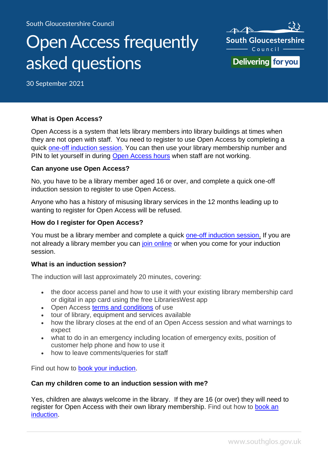# Open Access frequently asked questions



30 September 2021

#### **What is Open Access?**

Open Access is a system that lets library members into library buildings at times when they are not open with staff. You need to register to use Open Access by completing a quick [one-off induction session.](#page-0-0) You can then use your library membership number and PIN to let yourself in during [Open Access hours](https://www.southglos.gov.uk/leisure-and-culture/libraries/openaccess/open-access-join/) when staff are not working.

#### **Can anyone use Open Access?**

No, you have to be a library member aged 16 or over, and complete a quick one-off induction session to register to use Open Access.

Anyone who has a history of misusing library services in the 12 months leading up to wanting to register for Open Access will be refused.

#### **How do I register for Open Access?**

You must be a library member and complete a quick [one-off induction session.](#page-0-0) If you are not already a library member you can [join online](https://www.librarieswest.org.uk/client/en_GB/default/?rm=JOIN+THE+LIBRA0%7C%7C%7C1%7C%7C%7C0%7C%7C%7Ctrue) or when you come for your induction session.

#### <span id="page-0-0"></span>**What is an induction session?**

The induction will last approximately 20 minutes, covering:

- the door access panel and how to use it with your existing library membership card or digital in app card using the free LibrariesWest app
- Open Access [terms and conditions](https://www.southglos.gov.uk/leisure-and-culture/libraries/openaccess/open-access-terms-conditions/) of use
- tour of library, equipment and services available
- how the library closes at the end of an Open Access session and what warnings to expect
- what to do in an emergency including location of emergency exits, position of customer help phone and how to use it
- how to leave comments/queries for staff

Find out how to **book your induction**.

#### **Can my children come to an induction session with me?**

Yes, children are always welcome in the library. If they are 16 (or over) they will need to register for Open Access with their own library membership. Find out how to [book an](https://www.southglos.gov.uk/leisure-and-culture/libraries/openaccess/open-access-join/) [induction.](https://www.southglos.gov.uk/leisure-and-culture/libraries/openaccess/open-access-join/)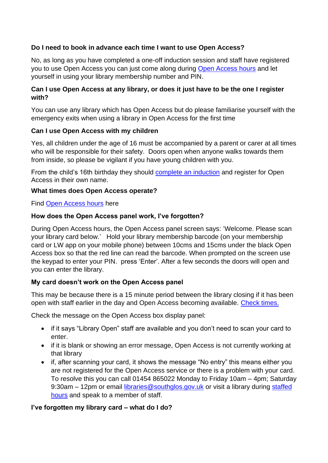# **Do I need to book in advance each time I want to use Open Access?**

No, as long as you have completed a one-off induction session and staff have registered you to use Open Access you can just come along during [Open Access hours](https://www.southglos.gov.uk/leisure-and-culture/libraries/openaccess/open-access-join/) and let yourself in using your library membership number and PIN.

#### **Can I use Open Access at any library, or does it just have to be the one I register with?**

You can use any library which has Open Access but do please familiarise yourself with the emergency exits when using a library in Open Access for the first time

## **Can I use Open Access with my children**

Yes, all children under the age of 16 must be accompanied by a parent or carer at all times who will be responsible for their safety. Doors open when anyone walks towards them from inside, so please be vigilant if you have young children with you.

From the child's 16th birthday they should [complete an induction](#page-0-0) and register for Open Access in their own name.

#### **What times does Open Access operate?**

Find [Open Access hours](https://www.southglos.gov.uk/leisure-and-culture/libraries/openaccess/open-access-join/) here

#### **How does the Open Access panel work, I've forgotten?**

During Open Access hours, the Open Access panel screen says: 'Welcome. Please scan your library card below.' Hold your library membership barcode (on your membership card or LW app on your mobile phone) between 10cms and 15cms under the black Open Access box so that the red line can read the barcode. When prompted on the screen use the keypad to enter your PIN. press 'Enter'. After a few seconds the doors will open and you can enter the library.

## **My card doesn't work on the Open Access panel**

This may be because there is a 15 minute period between the library closing if it has been open with staff earlier in the day and Open Access becoming available. [Check times.](https://www.southglos.gov.uk/leisure-and-culture/libraries/openaccess/open-access-join/)

Check the message on the Open Access box display panel:

- if it says "Library Open" staff are available and you don't need to scan your card to enter.
- if it is blank or showing an error message, Open Access is not currently working at that library
- if, after scanning your card, it shows the message "No entry" this means either you are not registered for the Open Access service or there is a problem with your card. To resolve this you can call 01454 865022 Monday to Friday 10am – 4pm; Saturday 9:30am – 12pm or email [libraries@southglos.gov.uk](mailto:libraries@southglos.gov.uk) or visit a library during staffed [hours](http://www.southglos.gov.uk/librarychanges) and speak to a member of staff.

## **I've forgotten my library card – what do I do?**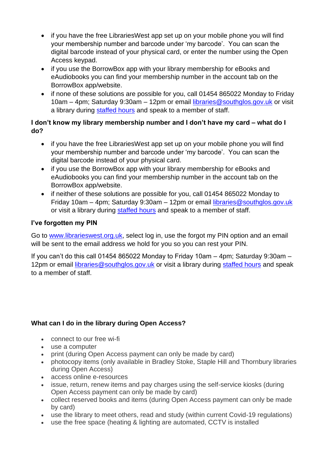- if you have the free LibrariesWest app set up on your mobile phone you will find your membership number and barcode under 'my barcode'. You can scan the digital barcode instead of your physical card, or enter the number using the Open Access keypad.
- if you use the BorrowBox app with your library membership for eBooks and eAudiobooks you can find your membership number in the account tab on the BorrowBox app/website.
- if none of these solutions are possible for you, call 01454 865022 Monday to Friday 10am – 4pm; Saturday 9:30am – 12pm or email [libraries@southglos.gov.uk](mailto:libraries@southglos.gov.uk) or visit a library during [staffed hours](http://www.southglos.gov.uk/librarychanges) and speak to a member of staff.

# **I don't know my library membership number and I don't have my card – what do I do?**

- if you have the free LibrariesWest app set up on your mobile phone you will find your membership number and barcode under 'my barcode'. You can scan the digital barcode instead of your physical card.
- if you use the BorrowBox app with your library membership for eBooks and eAudiobooks you can find your membership number in the account tab on the BorrowBox app/website.
- if neither of these solutions are possible for you, call 01454 865022 Monday to Friday 10am – 4pm; Saturday 9:30am – 12pm or email [libraries@southglos.gov.uk](mailto:libraries@southglos.gov.uk) or visit a library during [staffed hours](http://www.southglos.gov.uk/librarychanges) and speak to a member of staff.

# **I've forgotten my PIN**

Go to [www.librarieswest.org.uk,](http://www.librarieswest.org.uk/) select log in, use the forgot my PIN option and an email will be sent to the email address we hold for you so you can rest your PIN.

If you can't do this call 01454 865022 Monday to Friday 10am – 4pm; Saturday 9:30am – 12pm or email [libraries@southglos.gov.uk](mailto:libraries@southglos.gov.uk) or visit a library during [staffed hours](http://www.southglos.gov.uk/librarychanges) and speak to a member of staff.

# **What can I do in the library during Open Access?**

- connect to our free wi-fi
- use a computer
- print (during Open Access payment can only be made by card)
- photocopy items (only available in Bradley Stoke, Staple Hill and Thornbury libraries during Open Access)
- access online e-resources
- issue, return, renew items and pay charges using the self-service kiosks (during Open Access payment can only be made by card)
- collect reserved books and items (during Open Access payment can only be made by card)
- use the library to meet others, read and study (within current Covid-19 regulations)
- use the free space (heating & lighting are automated, CCTV is installed